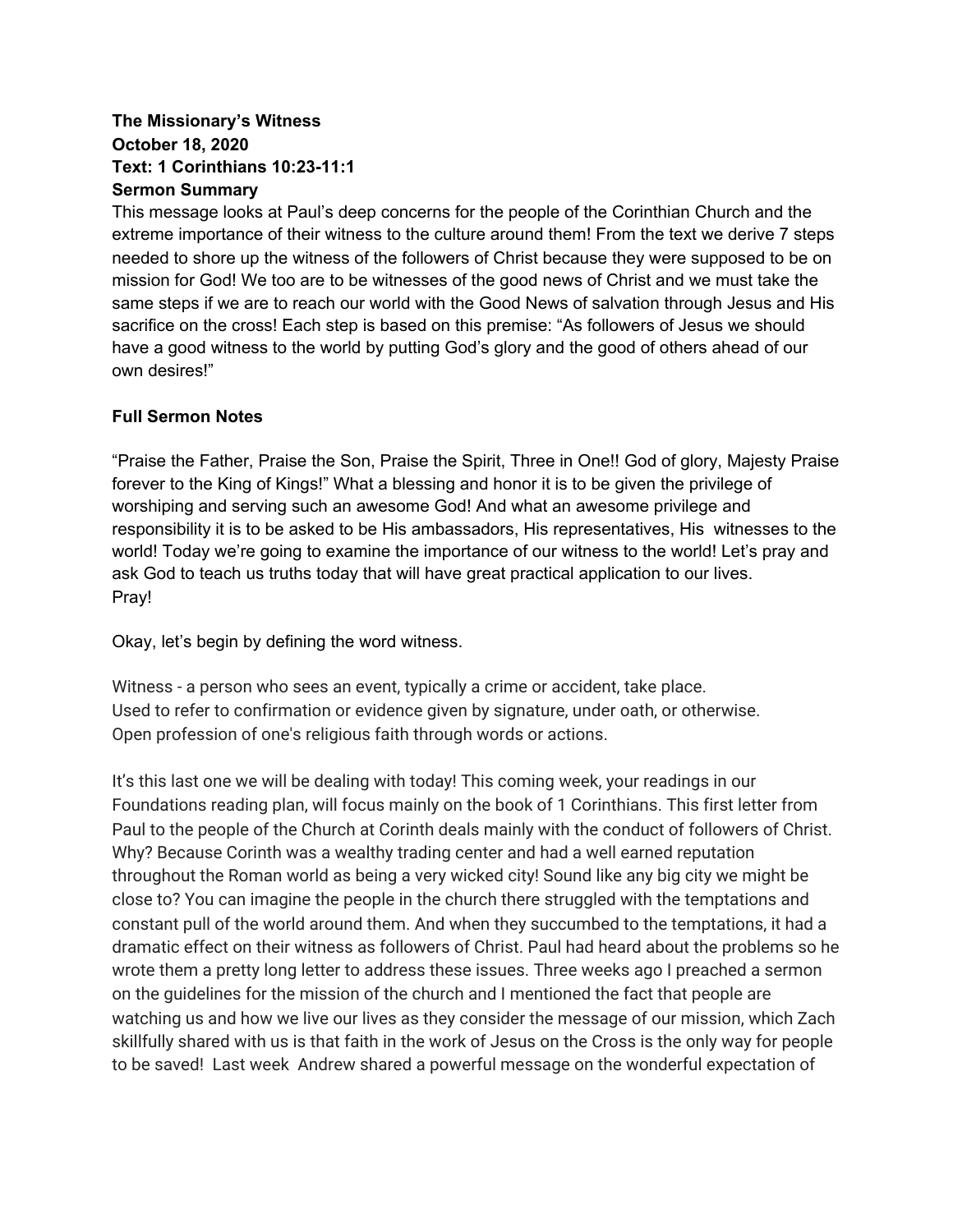### **The Missionary's Witness October 18, 2020 Text: 1 Corinthians 10:23-11:1 Sermon Summary**

This message looks at Paul's deep concerns for the people of the Corinthian Church and the extreme importance of their witness to the culture around them! From the text we derive 7 steps needed to shore up the witness of the followers of Christ because they were supposed to be on mission for God! We too are to be witnesses of the good news of Christ and we must take the same steps if we are to reach our world with the Good News of salvation through Jesus and His sacrifice on the cross! Each step is based on this premise: "As followers of Jesus we should have a good witness to the world by putting God's glory and the good of others ahead of our own desires!"

### **Full Sermon Notes**

"Praise the Father, Praise the Son, Praise the Spirit, Three in One!! God of glory, Majesty Praise forever to the King of Kings!" What a blessing and honor it is to be given the privilege of worshiping and serving such an awesome God! And what an awesome privilege and responsibility it is to be asked to be His ambassadors, His representatives, His witnesses to the world! Today we're going to examine the importance of our witness to the world! Let's pray and ask God to teach us truths today that will have great practical application to our lives. Pray!

Okay, let's begin by defining the word witness.

Witness - a person who sees an event, typically a crime or accident, take place. Used to refer to confirmation or evidence given by signature, under oath, or otherwise. Open profession of one's religious faith through words or actions.

It's this last one we will be dealing with today! This coming week, your readings in our Foundations reading plan, will focus mainly on the book of 1 Corinthians. This first letter from Paul to the people of the Church at Corinth deals mainly with the conduct of followers of Christ. Why? Because Corinth was a wealthy trading center and had a well earned reputation throughout the Roman world as being a very wicked city! Sound like any big city we might be close to? You can imagine the people in the church there struggled with the temptations and constant pull of the world around them. And when they succumbed to the temptations, it had a dramatic effect on their witness as followers of Christ. Paul had heard about the problems so he wrote them a pretty long letter to address these issues. Three weeks ago I preached a sermon on the guidelines for the mission of the church and I mentioned the fact that people are watching us and how we live our lives as they consider the message of our mission, which Zach skillfully shared with us is that faith in the work of Jesus on the Cross is the only way for people to be saved! Last week Andrew shared a powerful message on the wonderful expectation of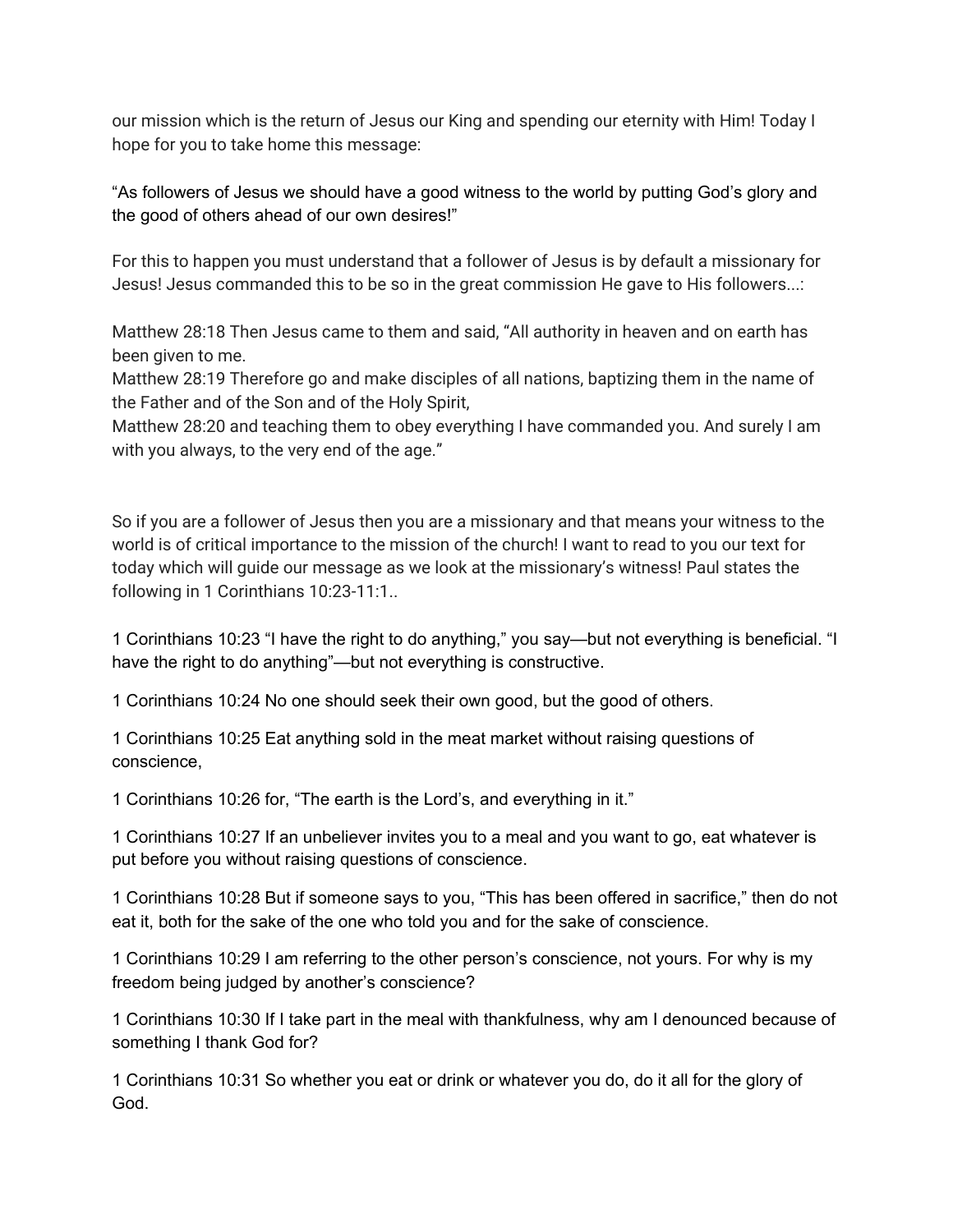our mission which is the return of Jesus our King and spending our eternity with Him! Today I hope for you to take home this message:

"As followers of Jesus we should have a good witness to the world by putting God's glory and the good of others ahead of our own desires!"

For this to happen you must understand that a follower of Jesus is by default a missionary for Jesus! Jesus commanded this to be so in the great commission He gave to His followers...:

Matthew 28:18 Then Jesus came to them and said, "All authority in heaven and on earth has been given to me.

Matthew 28:19 Therefore go and make disciples of all nations, baptizing them in the name of the Father and of the Son and of the Holy Spirit,

Matthew 28:20 and teaching them to obey everything I have commanded you. And surely I am with you always, to the very end of the age."

So if you are a follower of Jesus then you are a missionary and that means your witness to the world is of critical importance to the mission of the church! I want to read to you our text for today which will guide our message as we look at the missionary's witness! Paul states the following in 1 Corinthians 10:23-11:1..

1 Corinthians 10:23 "I have the right to do anything," you say—but not everything is beneficial. "I have the right to do anything"—but not everything is constructive.

1 Corinthians 10:24 No one should seek their own good, but the good of others.

1 Corinthians 10:25 Eat anything sold in the meat market without raising questions of conscience,

1 Corinthians 10:26 for, "The earth is the Lord's, and everything in it."

1 Corinthians 10:27 If an unbeliever invites you to a meal and you want to go, eat whatever is put before you without raising questions of conscience.

1 Corinthians 10:28 But if someone says to you, "This has been offered in sacrifice," then do not eat it, both for the sake of the one who told you and for the sake of conscience.

1 Corinthians 10:29 I am referring to the other person's conscience, not yours. For why is my freedom being judged by another's conscience?

1 Corinthians 10:30 If I take part in the meal with thankfulness, why am I denounced because of something I thank God for?

1 Corinthians 10:31 So whether you eat or drink or whatever you do, do it all for the glory of God.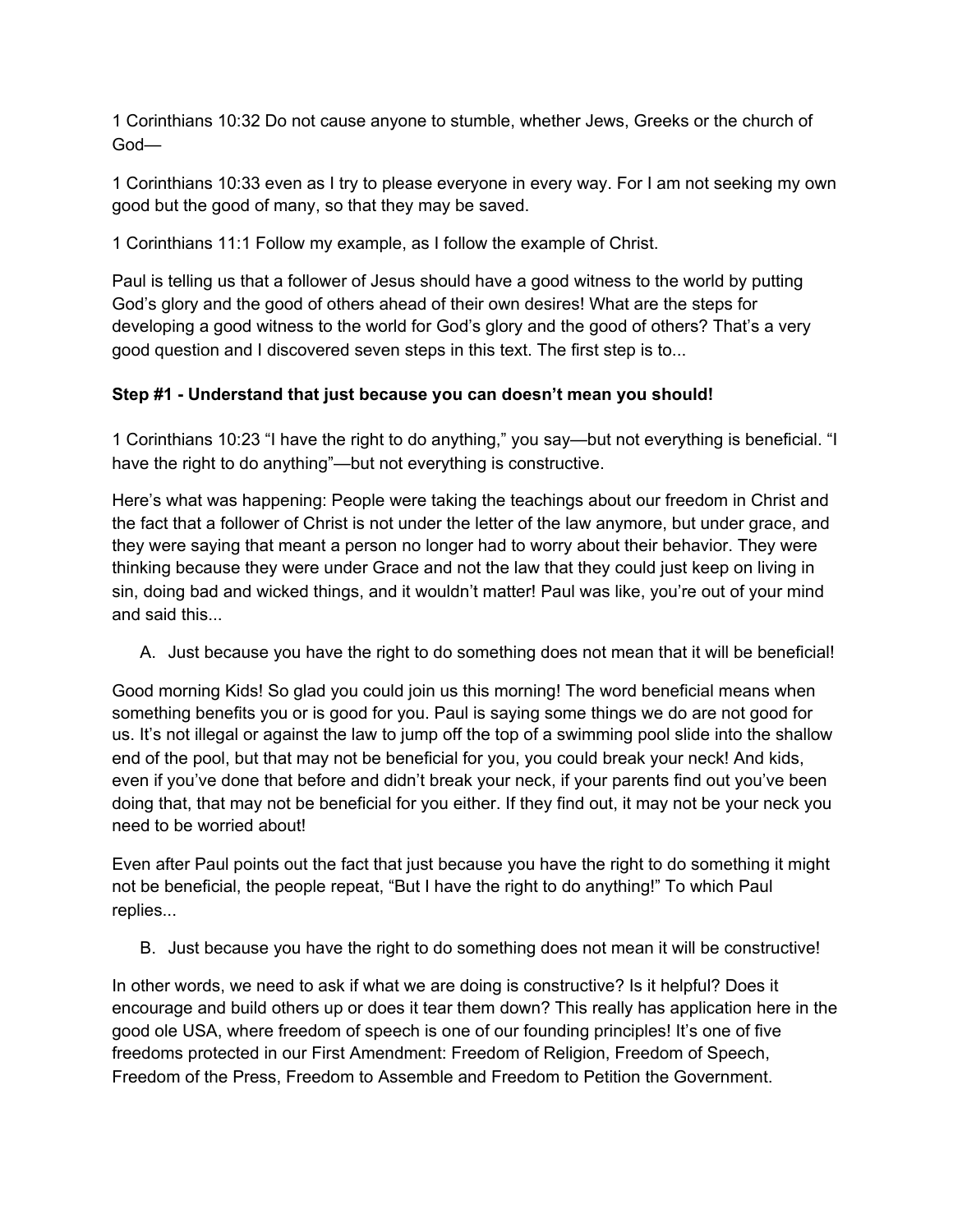1 Corinthians 10:32 Do not cause anyone to stumble, whether Jews, Greeks or the church of God—

1 Corinthians 10:33 even as I try to please everyone in every way. For I am not seeking my own good but the good of many, so that they may be saved.

1 Corinthians 11:1 Follow my example, as I follow the example of Christ.

Paul is telling us that a follower of Jesus should have a good witness to the world by putting God's glory and the good of others ahead of their own desires! What are the steps for developing a good witness to the world for God's glory and the good of others? That's a very good question and I discovered seven steps in this text. The first step is to...

# **Step #1 - Understand that just because you can doesn't mean you should!**

1 Corinthians 10:23 "I have the right to do anything," you say—but not everything is beneficial. "I have the right to do anything"—but not everything is constructive.

Here's what was happening: People were taking the teachings about our freedom in Christ and the fact that a follower of Christ is not under the letter of the law anymore, but under grace, and they were saying that meant a person no longer had to worry about their behavior. They were thinking because they were under Grace and not the law that they could just keep on living in sin, doing bad and wicked things, and it wouldn't matter! Paul was like, you're out of your mind and said this...

A. Just because you have the right to do something does not mean that it will be beneficial!

Good morning Kids! So glad you could join us this morning! The word beneficial means when something benefits you or is good for you. Paul is saying some things we do are not good for us. It's not illegal or against the law to jump off the top of a swimming pool slide into the shallow end of the pool, but that may not be beneficial for you, you could break your neck! And kids, even if you've done that before and didn't break your neck, if your parents find out you've been doing that, that may not be beneficial for you either. If they find out, it may not be your neck you need to be worried about!

Even after Paul points out the fact that just because you have the right to do something it might not be beneficial, the people repeat, "But I have the right to do anything!" To which Paul replies...

B. Just because you have the right to do something does not mean it will be constructive!

In other words, we need to ask if what we are doing is constructive? Is it helpful? Does it encourage and build others up or does it tear them down? This really has application here in the good ole USA, where freedom of speech is one of our founding principles! It's one of five freedoms protected in our First Amendment: Freedom of Religion, Freedom of Speech, Freedom of the Press, Freedom to Assemble and Freedom to Petition the Government.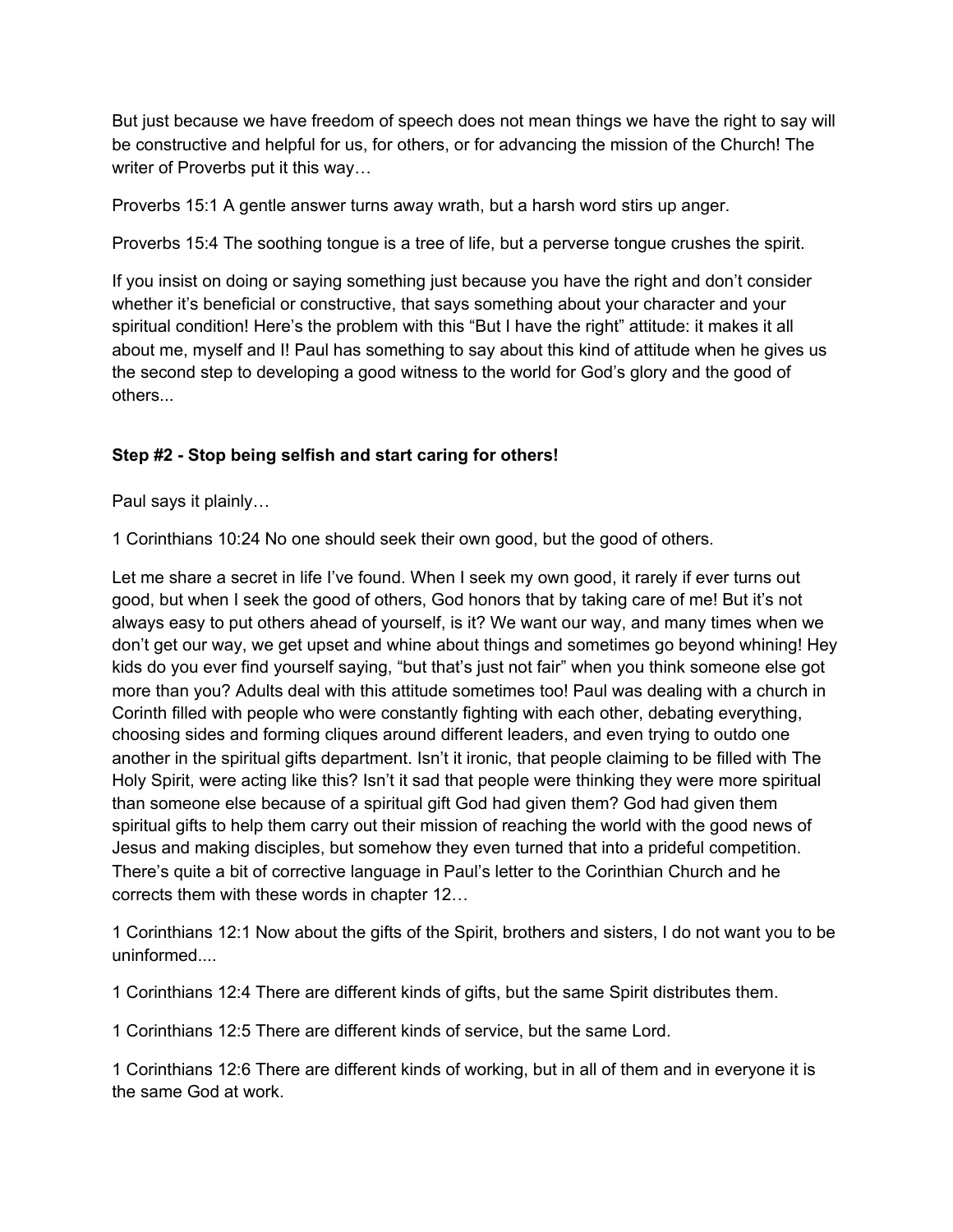But just because we have freedom of speech does not mean things we have the right to say will be constructive and helpful for us, for others, or for advancing the mission of the Church! The writer of Proverbs put it this way...

Proverbs 15:1 A gentle answer turns away wrath, but a harsh word stirs up anger.

Proverbs 15:4 The soothing tongue is a tree of life, but a perverse tongue crushes the spirit.

If you insist on doing or saying something just because you have the right and don't consider whether it's beneficial or constructive, that says something about your character and your spiritual condition! Here's the problem with this "But I have the right" attitude: it makes it all about me, myself and I! Paul has something to say about this kind of attitude when he gives us the second step to developing a good witness to the world for God's glory and the good of others...

### **Step #2 - Stop being selfish and start caring for others!**

Paul says it plainly…

1 Corinthians 10:24 No one should seek their own good, but the good of others.

Let me share a secret in life I've found. When I seek my own good, it rarely if ever turns out good, but when I seek the good of others, God honors that by taking care of me! But it's not always easy to put others ahead of yourself, is it? We want our way, and many times when we don't get our way, we get upset and whine about things and sometimes go beyond whining! Hey kids do you ever find yourself saying, "but that's just not fair" when you think someone else got more than you? Adults deal with this attitude sometimes too! Paul was dealing with a church in Corinth filled with people who were constantly fighting with each other, debating everything, choosing sides and forming cliques around different leaders, and even trying to outdo one another in the spiritual gifts department. Isn't it ironic, that people claiming to be filled with The Holy Spirit, were acting like this? Isn't it sad that people were thinking they were more spiritual than someone else because of a spiritual gift God had given them? God had given them spiritual gifts to help them carry out their mission of reaching the world with the good news of Jesus and making disciples, but somehow they even turned that into a prideful competition. There's quite a bit of corrective language in Paul's letter to the Corinthian Church and he corrects them with these words in chapter 12…

1 Corinthians 12:1 Now about the gifts of the Spirit, brothers and sisters, I do not want you to be uninformed....

1 Corinthians 12:4 There are different kinds of gifts, but the same Spirit distributes them.

1 Corinthians 12:5 There are different kinds of service, but the same Lord.

1 Corinthians 12:6 There are different kinds of working, but in all of them and in everyone it is the same God at work.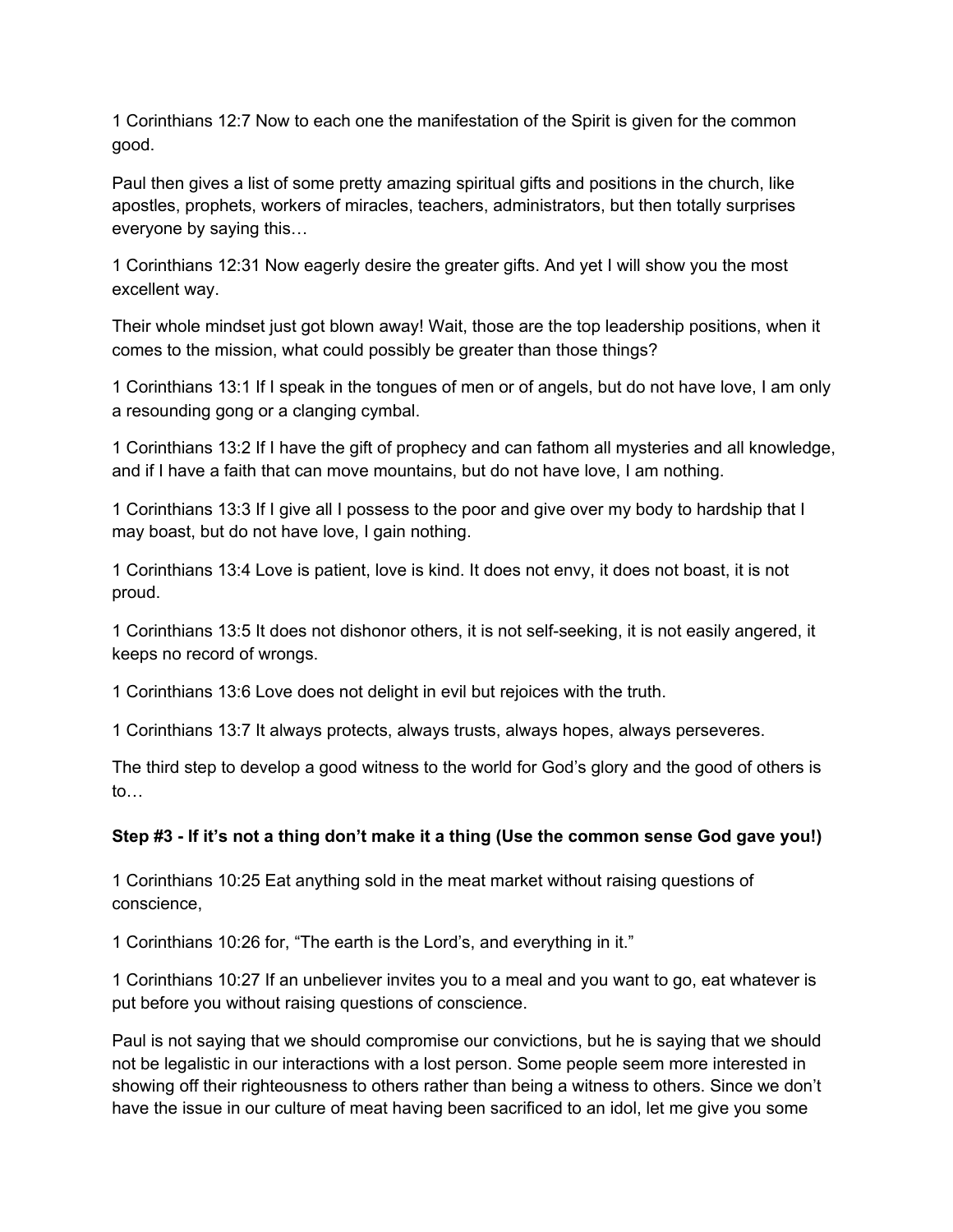1 Corinthians 12:7 Now to each one the manifestation of the Spirit is given for the common good.

Paul then gives a list of some pretty amazing spiritual gifts and positions in the church, like apostles, prophets, workers of miracles, teachers, administrators, but then totally surprises everyone by saying this…

1 Corinthians 12:31 Now eagerly desire the greater gifts. And yet I will show you the most excellent way.

Their whole mindset just got blown away! Wait, those are the top leadership positions, when it comes to the mission, what could possibly be greater than those things?

1 Corinthians 13:1 If I speak in the tongues of men or of angels, but do not have love, I am only a resounding gong or a clanging cymbal.

1 Corinthians 13:2 If I have the gift of prophecy and can fathom all mysteries and all knowledge, and if I have a faith that can move mountains, but do not have love, I am nothing.

1 Corinthians 13:3 If I give all I possess to the poor and give over my body to hardship that I may boast, but do not have love, I gain nothing.

1 Corinthians 13:4 Love is patient, love is kind. It does not envy, it does not boast, it is not proud.

1 Corinthians 13:5 It does not dishonor others, it is not self-seeking, it is not easily angered, it keeps no record of wrongs.

1 Corinthians 13:6 Love does not delight in evil but rejoices with the truth.

1 Corinthians 13:7 It always protects, always trusts, always hopes, always perseveres.

The third step to develop a good witness to the world for God's glory and the good of others is to…

### Step #3 - If it's not a thing don't make it a thing (Use the common sense God gave you!)

1 Corinthians 10:25 Eat anything sold in the meat market without raising questions of conscience,

1 Corinthians 10:26 for, "The earth is the Lord's, and everything in it."

1 Corinthians 10:27 If an unbeliever invites you to a meal and you want to go, eat whatever is put before you without raising questions of conscience.

Paul is not saying that we should compromise our convictions, but he is saying that we should not be legalistic in our interactions with a lost person. Some people seem more interested in showing off their righteousness to others rather than being a witness to others. Since we don't have the issue in our culture of meat having been sacrificed to an idol, let me give you some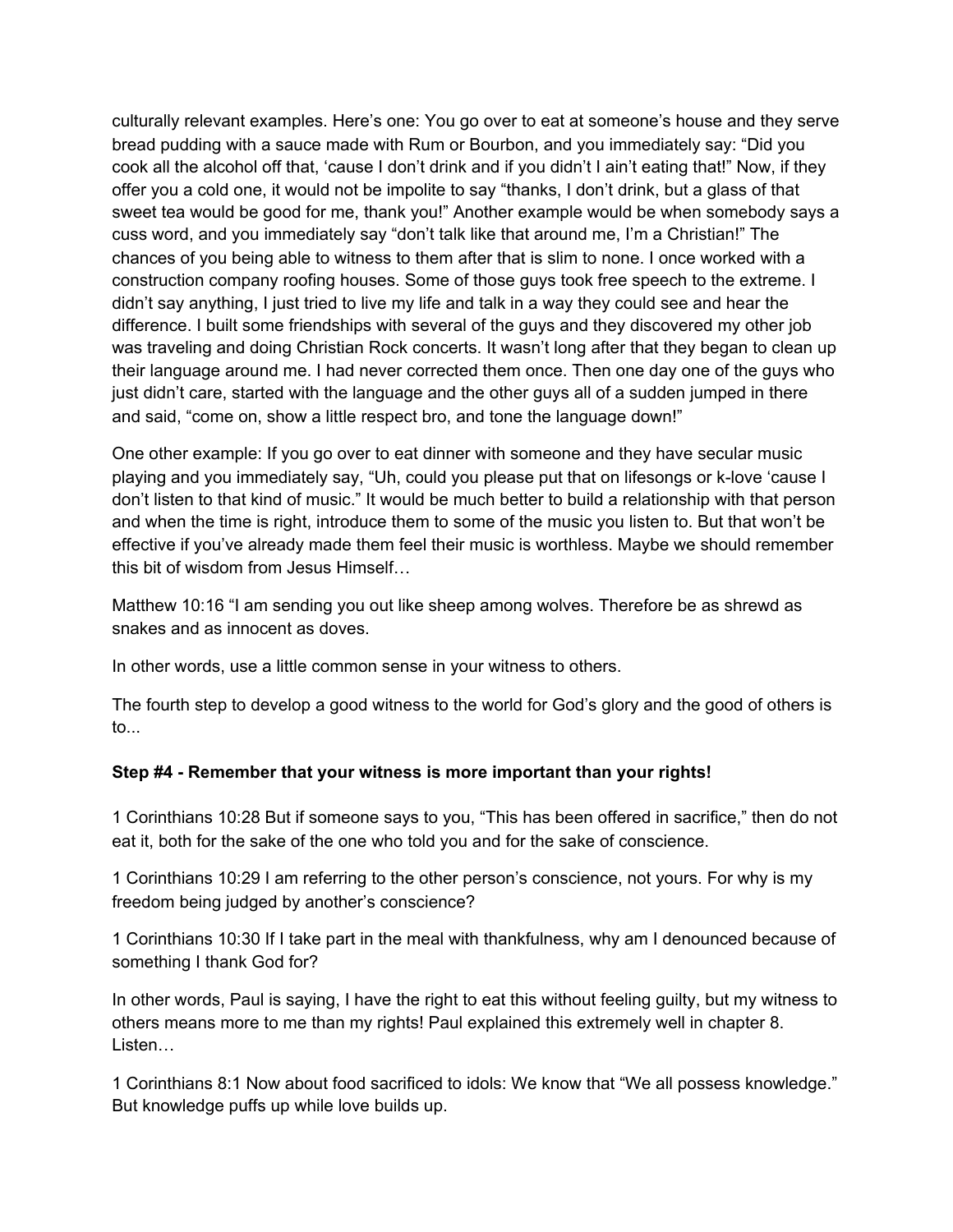culturally relevant examples. Here's one: You go over to eat at someone's house and they serve bread pudding with a sauce made with Rum or Bourbon, and you immediately say: "Did you cook all the alcohol off that, 'cause I don't drink and if you didn't I ain't eating that!" Now, if they offer you a cold one, it would not be impolite to say "thanks, I don't drink, but a glass of that sweet tea would be good for me, thank you!" Another example would be when somebody says a cuss word, and you immediately say "don't talk like that around me, I'm a Christian!" The chances of you being able to witness to them after that is slim to none. I once worked with a construction company roofing houses. Some of those guys took free speech to the extreme. I didn't say anything, I just tried to live my life and talk in a way they could see and hear the difference. I built some friendships with several of the guys and they discovered my other job was traveling and doing Christian Rock concerts. It wasn't long after that they began to clean up their language around me. I had never corrected them once. Then one day one of the guys who just didn't care, started with the language and the other guys all of a sudden jumped in there and said, "come on, show a little respect bro, and tone the language down!"

One other example: If you go over to eat dinner with someone and they have secular music playing and you immediately say, "Uh, could you please put that on lifesongs or k-love 'cause I don't listen to that kind of music." It would be much better to build a relationship with that person and when the time is right, introduce them to some of the music you listen to. But that won't be effective if you've already made them feel their music is worthless. Maybe we should remember this bit of wisdom from Jesus Himself…

Matthew 10:16 "I am sending you out like sheep among wolves. Therefore be as shrewd as snakes and as innocent as doves.

In other words, use a little common sense in your witness to others.

The fourth step to develop a good witness to the world for God's glory and the good of others is to...

#### **Step #4 - Remember that your witness is more important than your rights!**

1 Corinthians 10:28 But if someone says to you, "This has been offered in sacrifice," then do not eat it, both for the sake of the one who told you and for the sake of conscience.

1 Corinthians 10:29 I am referring to the other person's conscience, not yours. For why is my freedom being judged by another's conscience?

1 Corinthians 10:30 If I take part in the meal with thankfulness, why am I denounced because of something I thank God for?

In other words, Paul is saying, I have the right to eat this without feeling guilty, but my witness to others means more to me than my rights! Paul explained this extremely well in chapter 8. Listen…

1 Corinthians 8:1 Now about food sacrificed to idols: We know that "We all possess knowledge." But knowledge puffs up while love builds up.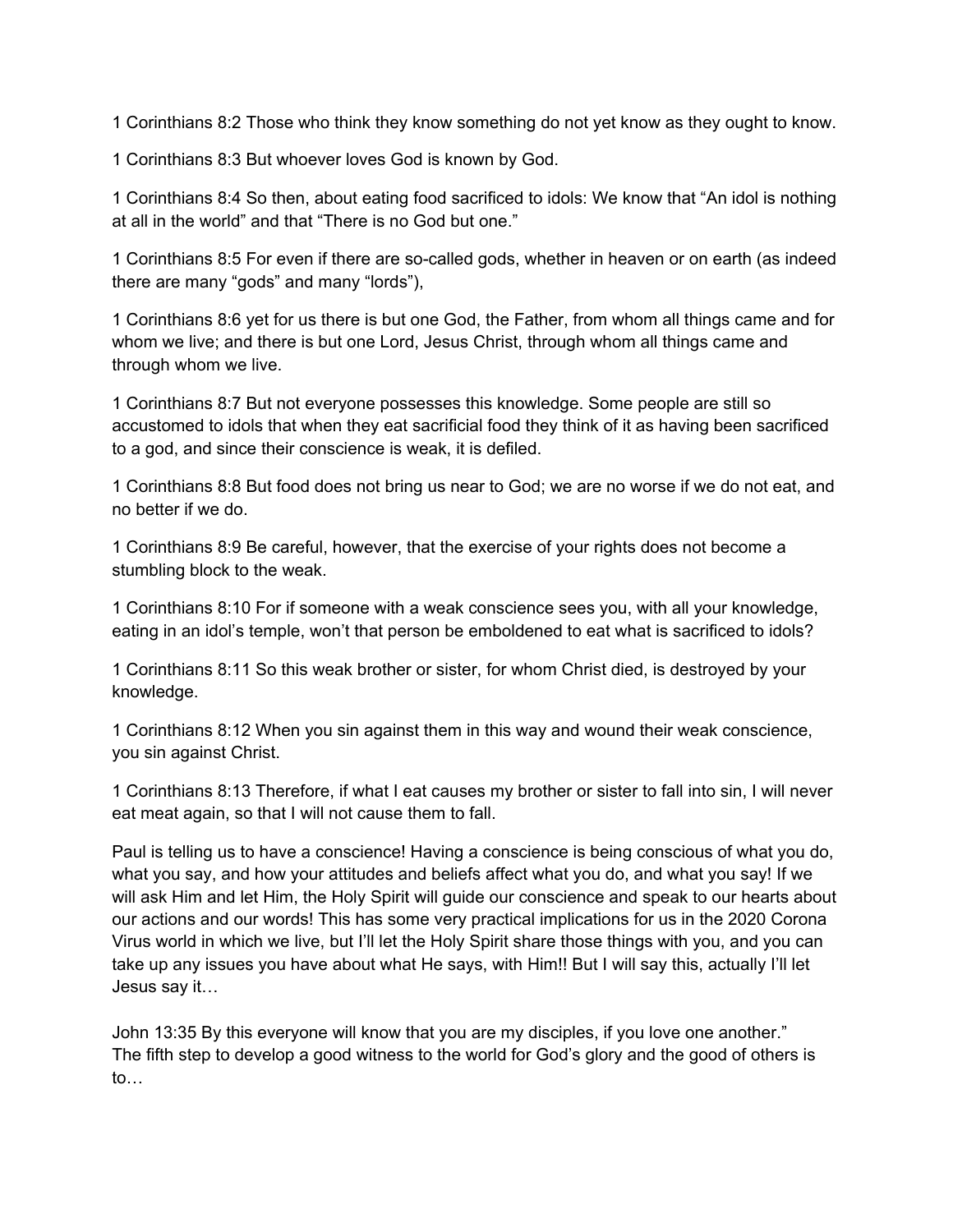1 Corinthians 8:2 Those who think they know something do not yet know as they ought to know.

1 Corinthians 8:3 But whoever loves God is known by God.

1 Corinthians 8:4 So then, about eating food sacrificed to idols: We know that "An idol is nothing at all in the world" and that "There is no God but one."

1 Corinthians 8:5 For even if there are so-called gods, whether in heaven or on earth (as indeed there are many "gods" and many "lords"),

1 Corinthians 8:6 yet for us there is but one God, the Father, from whom all things came and for whom we live; and there is but one Lord, Jesus Christ, through whom all things came and through whom we live.

1 Corinthians 8:7 But not everyone possesses this knowledge. Some people are still so accustomed to idols that when they eat sacrificial food they think of it as having been sacrificed to a god, and since their conscience is weak, it is defiled.

1 Corinthians 8:8 But food does not bring us near to God; we are no worse if we do not eat, and no better if we do.

1 Corinthians 8:9 Be careful, however, that the exercise of your rights does not become a stumbling block to the weak.

1 Corinthians 8:10 For if someone with a weak conscience sees you, with all your knowledge, eating in an idol's temple, won't that person be emboldened to eat what is sacrificed to idols?

1 Corinthians 8:11 So this weak brother or sister, for whom Christ died, is destroyed by your knowledge.

1 Corinthians 8:12 When you sin against them in this way and wound their weak conscience, you sin against Christ.

1 Corinthians 8:13 Therefore, if what I eat causes my brother or sister to fall into sin, I will never eat meat again, so that I will not cause them to fall.

Paul is telling us to have a conscience! Having a conscience is being conscious of what you do, what you say, and how your attitudes and beliefs affect what you do, and what you say! If we will ask Him and let Him, the Holy Spirit will guide our conscience and speak to our hearts about our actions and our words! This has some very practical implications for us in the 2020 Corona Virus world in which we live, but I'll let the Holy Spirit share those things with you, and you can take up any issues you have about what He says, with Him!! But I will say this, actually I'll let Jesus say it…

John 13:35 By this everyone will know that you are my disciples, if you love one another." The fifth step to develop a good witness to the world for God's glory and the good of others is to…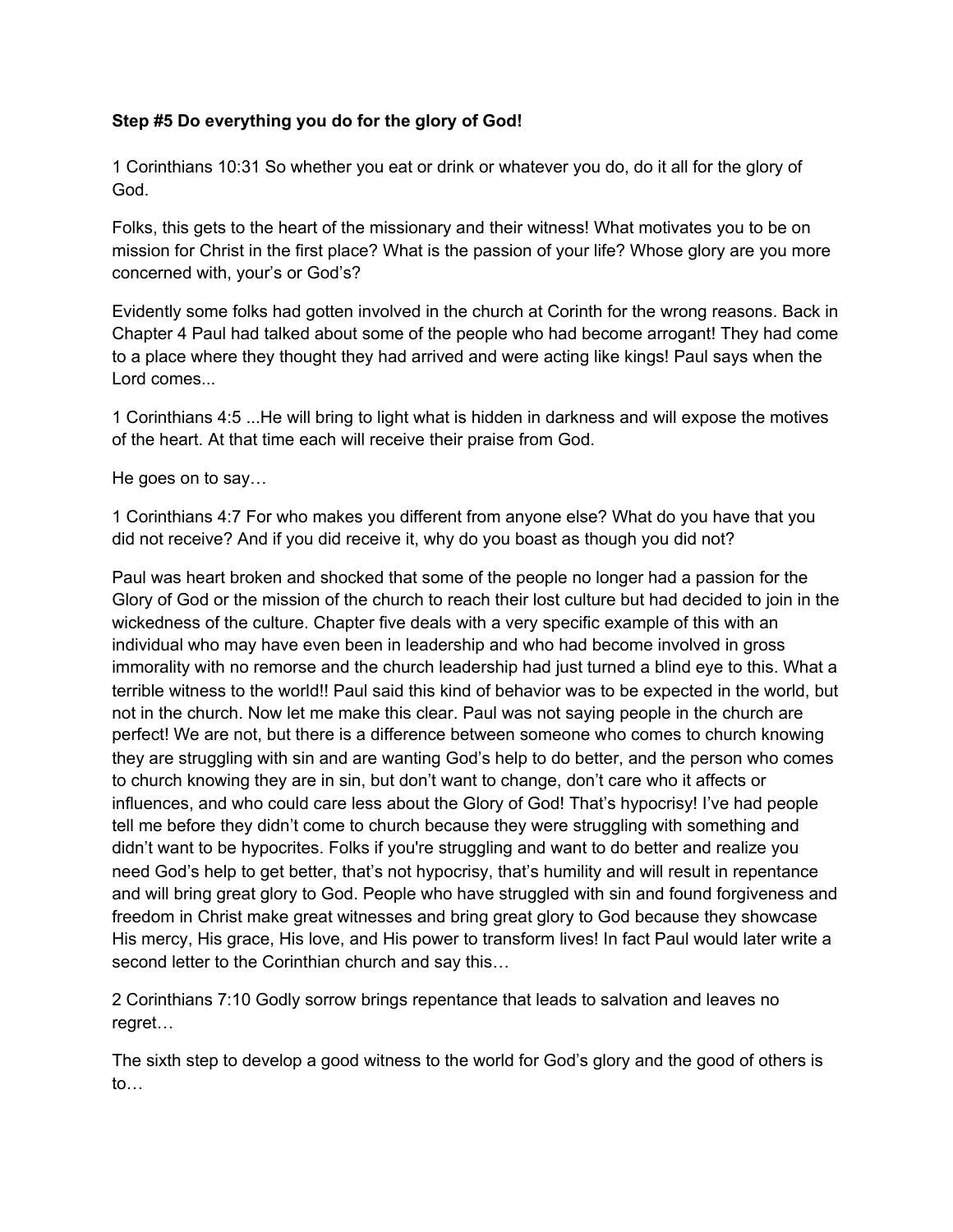## **Step #5 Do everything you do for the glory of God!**

1 Corinthians 10:31 So whether you eat or drink or whatever you do, do it all for the glory of God.

Folks, this gets to the heart of the missionary and their witness! What motivates you to be on mission for Christ in the first place? What is the passion of your life? Whose glory are you more concerned with, your's or God's?

Evidently some folks had gotten involved in the church at Corinth for the wrong reasons. Back in Chapter 4 Paul had talked about some of the people who had become arrogant! They had come to a place where they thought they had arrived and were acting like kings! Paul says when the Lord comes...

1 Corinthians 4:5 ...He will bring to light what is hidden in darkness and will expose the motives of the heart. At that time each will receive their praise from God.

He goes on to say…

1 Corinthians 4:7 For who makes you different from anyone else? What do you have that you did not receive? And if you did receive it, why do you boast as though you did not?

Paul was heart broken and shocked that some of the people no longer had a passion for the Glory of God or the mission of the church to reach their lost culture but had decided to join in the wickedness of the culture. Chapter five deals with a very specific example of this with an individual who may have even been in leadership and who had become involved in gross immorality with no remorse and the church leadership had just turned a blind eye to this. What a terrible witness to the world!! Paul said this kind of behavior was to be expected in the world, but not in the church. Now let me make this clear. Paul was not saying people in the church are perfect! We are not, but there is a difference between someone who comes to church knowing they are struggling with sin and are wanting God's help to do better, and the person who comes to church knowing they are in sin, but don't want to change, don't care who it affects or influences, and who could care less about the Glory of God! That's hypocrisy! I've had people tell me before they didn't come to church because they were struggling with something and didn't want to be hypocrites. Folks if you're struggling and want to do better and realize you need God's help to get better, that's not hypocrisy, that's humility and will result in repentance and will bring great glory to God. People who have struggled with sin and found forgiveness and freedom in Christ make great witnesses and bring great glory to God because they showcase His mercy, His grace, His love, and His power to transform lives! In fact Paul would later write a second letter to the Corinthian church and say this...

2 Corinthians 7:10 Godly sorrow brings repentance that leads to salvation and leaves no regret…

The sixth step to develop a good witness to the world for God's glory and the good of others is to…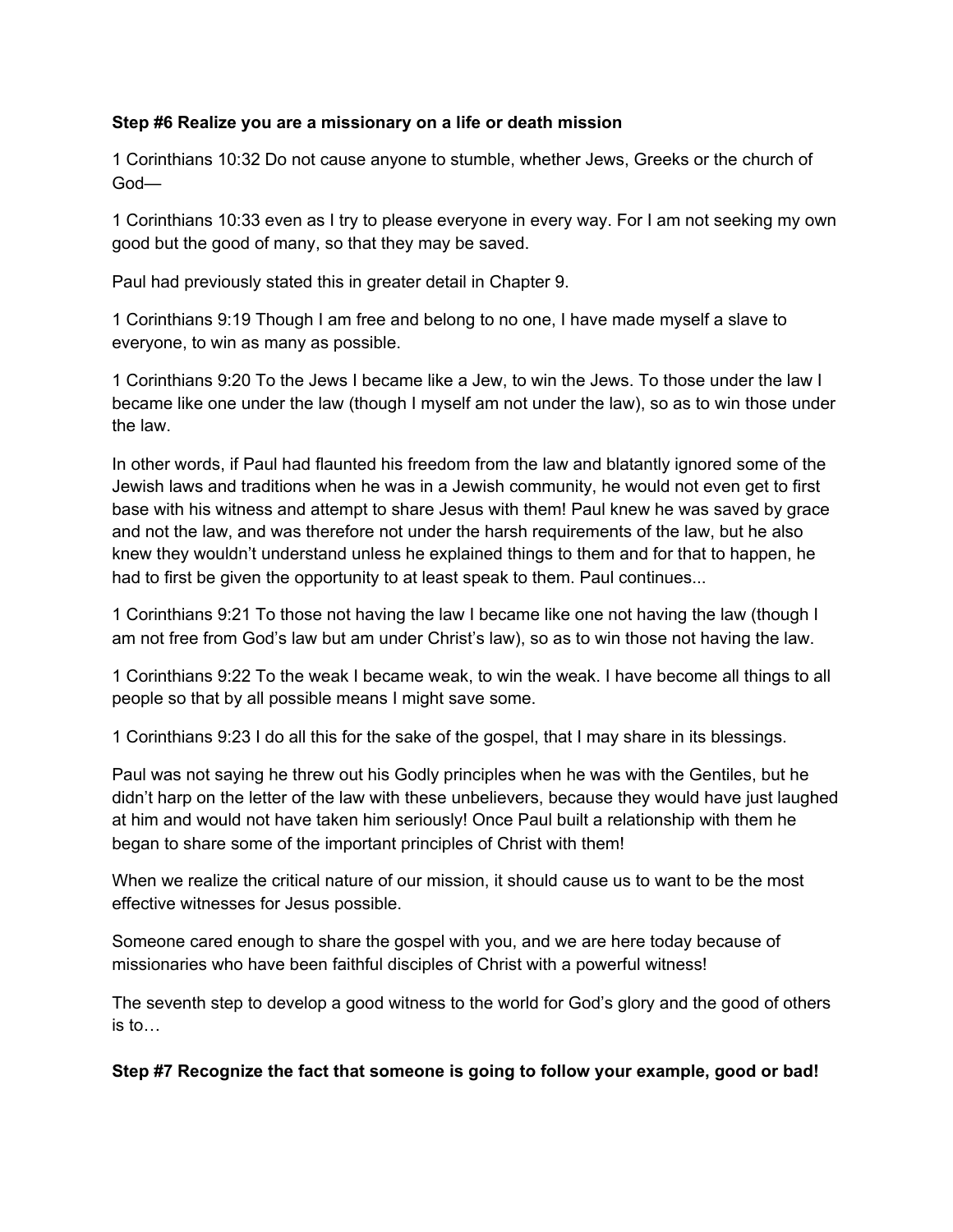#### **Step #6 Realize you are a missionary on a life or death mission**

1 Corinthians 10:32 Do not cause anyone to stumble, whether Jews, Greeks or the church of God—

1 Corinthians 10:33 even as I try to please everyone in every way. For I am not seeking my own good but the good of many, so that they may be saved.

Paul had previously stated this in greater detail in Chapter 9.

1 Corinthians 9:19 Though I am free and belong to no one, I have made myself a slave to everyone, to win as many as possible.

1 Corinthians 9:20 To the Jews I became like a Jew, to win the Jews. To those under the law I became like one under the law (though I myself am not under the law), so as to win those under the law.

In other words, if Paul had flaunted his freedom from the law and blatantly ignored some of the Jewish laws and traditions when he was in a Jewish community, he would not even get to first base with his witness and attempt to share Jesus with them! Paul knew he was saved by grace and not the law, and was therefore not under the harsh requirements of the law, but he also knew they wouldn't understand unless he explained things to them and for that to happen, he had to first be given the opportunity to at least speak to them. Paul continues...

1 Corinthians 9:21 To those not having the law I became like one not having the law (though I am not free from God's law but am under Christ's law), so as to win those not having the law.

1 Corinthians 9:22 To the weak I became weak, to win the weak. I have become all things to all people so that by all possible means I might save some.

1 Corinthians 9:23 I do all this for the sake of the gospel, that I may share in its blessings.

Paul was not saying he threw out his Godly principles when he was with the Gentiles, but he didn't harp on the letter of the law with these unbelievers, because they would have just laughed at him and would not have taken him seriously! Once Paul built a relationship with them he began to share some of the important principles of Christ with them!

When we realize the critical nature of our mission, it should cause us to want to be the most effective witnesses for Jesus possible.

Someone cared enough to share the gospel with you, and we are here today because of missionaries who have been faithful disciples of Christ with a powerful witness!

The seventh step to develop a good witness to the world for God's glory and the good of others is to…

**Step #7 Recognize the fact that someone is going to follow your example, good or bad!**